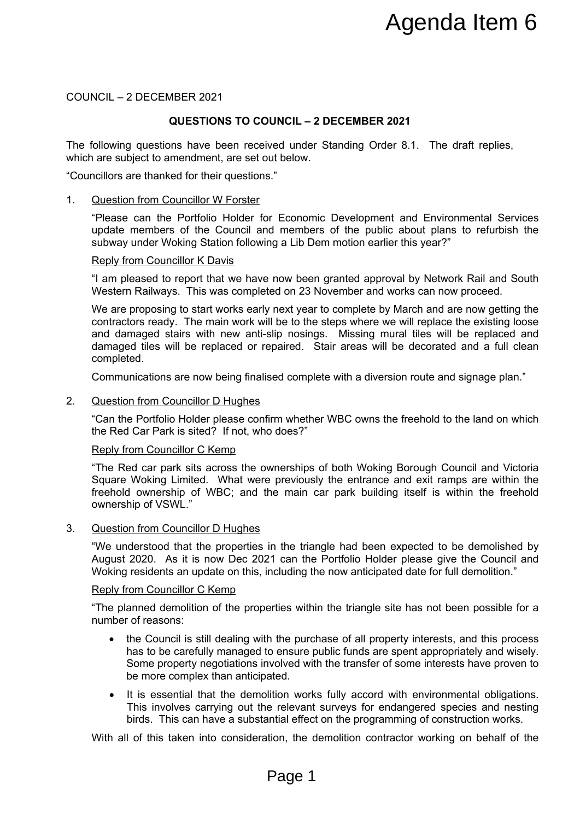COUNCIL – 2 DECEMBER 2021

# **QUESTIONS TO COUNCIL – 2 DECEMBER 2021**

The following questions have been received under Standing Order 8.1. The draft replies, which are subject to amendment, are set out below.

"Councillors are thanked for their questions."

#### 1. Question from Councillor W Forster

"Please can the Portfolio Holder for Economic Development and Environmental Services update members of the Council and members of the public about plans to refurbish the subway under Woking Station following a Lib Dem motion earlier this year?"

#### Reply from Councillor K Davis

"I am pleased to report that we have now been granted approval by Network Rail and South Western Railways. This was completed on 23 November and works can now proceed.

We are proposing to start works early next year to complete by March and are now getting the contractors ready. The main work will be to the steps where we will replace the existing loose and damaged stairs with new anti-slip nosings. Missing mural tiles will be replaced and damaged tiles will be replaced or repaired. Stair areas will be decorated and a full clean completed. **Example 12 Agenda Item 6**<br> **Example:** The distribution of the property of the property of the problem of the problem of the problem of the problem of the problem of the problem of the problem of the problem of the problem

Communications are now being finalised complete with a diversion route and signage plan."

#### 2. Question from Councillor D Hughes

"Can the Portfolio Holder please confirm whether WBC owns the freehold to the land on which the Red Car Park is sited? If not, who does?"

#### Reply from Councillor C Kemp

"The Red car park sits across the ownerships of both Woking Borough Council and Victoria Square Woking Limited. What were previously the entrance and exit ramps are within the freehold ownership of WBC; and the main car park building itself is within the freehold ownership of VSWL."

#### 3. Question from Councillor D Hughes

"We understood that the properties in the triangle had been expected to be demolished by August 2020. As it is now Dec 2021 can the Portfolio Holder please give the Council and Woking residents an update on this, including the now anticipated date for full demolition."

#### Reply from Councillor C Kemp

"The planned demolition of the properties within the triangle site has not been possible for a number of reasons:

- the Council is still dealing with the purchase of all property interests, and this process has to be carefully managed to ensure public funds are spent appropriately and wisely. Some property negotiations involved with the transfer of some interests have proven to be more complex than anticipated.
- It is essential that the demolition works fully accord with environmental obligations. This involves carrying out the relevant surveys for endangered species and nesting birds. This can have a substantial effect on the programming of construction works.

With all of this taken into consideration, the demolition contractor working on behalf of the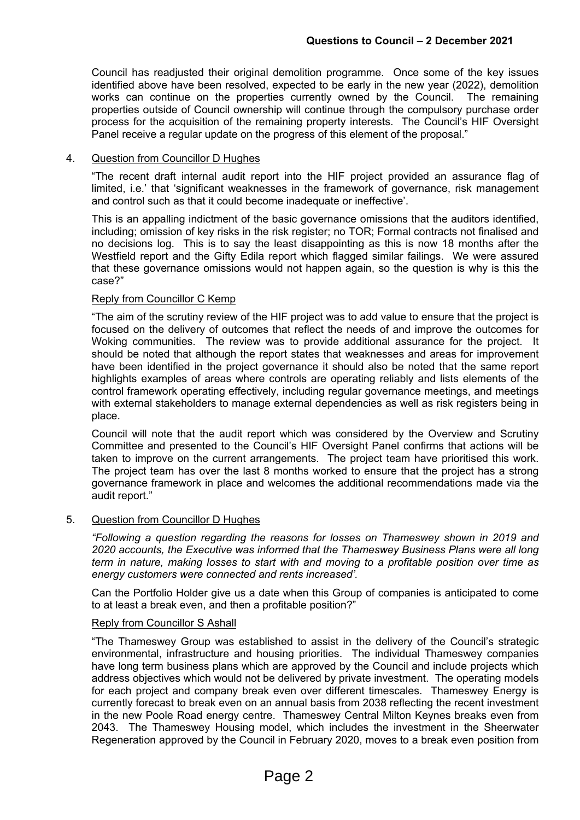Council has readjusted their original demolition programme. Once some of the key issues identified above have been resolved, expected to be early in the new year (2022), demolition works can continue on the properties currently owned by the Council. The remaining properties outside of Council ownership will continue through the compulsory purchase order process for the acquisition of the remaining property interests. The Council's HIF Oversight Panel receive a regular update on the progress of this element of the proposal."

## 4. Question from Councillor D Hughes

"The recent draft internal audit report into the HIF project provided an assurance flag of limited, i.e.' that 'significant weaknesses in the framework of governance, risk management and control such as that it could become inadequate or ineffective'.

This is an appalling indictment of the basic governance omissions that the auditors identified, including; omission of key risks in the risk register; no TOR; Formal contracts not finalised and no decisions log. This is to say the least disappointing as this is now 18 months after the Westfield report and the Gifty Edila report which flagged similar failings. We were assured that these governance omissions would not happen again, so the question is why is this the case?"

# Reply from Councillor C Kemp

"The aim of the scrutiny review of the HIF project was to add value to ensure that the project is focused on the delivery of outcomes that reflect the needs of and improve the outcomes for Woking communities. The review was to provide additional assurance for the project. It should be noted that although the report states that weaknesses and areas for improvement have been identified in the project governance it should also be noted that the same report highlights examples of areas where controls are operating reliably and lists elements of the control framework operating effectively, including regular governance meetings, and meetings with external stakeholders to manage external dependencies as well as risk registers being in place.

Council will note that the audit report which was considered by the Overview and Scrutiny Committee and presented to the Council's HIF Oversight Panel confirms that actions will be taken to improve on the current arrangements. The project team have prioritised this work. The project team has over the last 8 months worked to ensure that the project has a strong governance framework in place and welcomes the additional recommendations made via the audit report."

## 5. Question from Councillor D Hughes

*"Following a question regarding the reasons for losses on Thameswey shown in 2019 and 2020 accounts, the Executive was informed that the Thameswey Business Plans were all long term in nature, making losses to start with and moving to a profitable position over time as energy customers were connected and rents increased'.*

Can the Portfolio Holder give us a date when this Group of companies is anticipated to come to at least a break even, and then a profitable position?"

## Reply from Councillor S Ashall

"The Thameswey Group was established to assist in the delivery of the Council's strategic environmental, infrastructure and housing priorities. The individual Thameswey companies have long term business plans which are approved by the Council and include projects which address objectives which would not be delivered by private investment. The operating models for each project and company break even over different timescales. Thameswey Energy is currently forecast to break even on an annual basis from 2038 reflecting the recent investment in the new Poole Road energy centre. Thameswey Central Milton Keynes breaks even from 2043. The Thameswey Housing model, which includes the investment in the Sheerwater Regeneration approved by the Council in February 2020, moves to a break even position from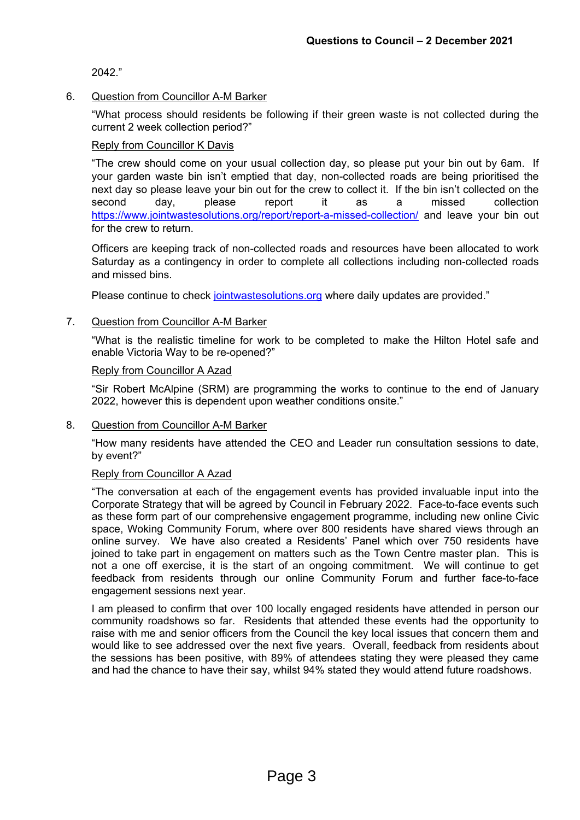2042."

# 6. Question from Councillor A-M Barker

"What process should residents be following if their green waste is not collected during the current 2 week collection period?"

## Reply from Councillor K Davis

"The crew should come on your usual collection day, so please put your bin out by 6am. If your garden waste bin isn't emptied that day, non-collected roads are being prioritised the next day so please leave your bin out for the crew to collect it. If the bin isn't collected on the second day, please report it as a missed collection <https://www.jointwastesolutions.org/report/report-a-missed-collection/> and leave your bin out for the crew to return.

Officers are keeping track of non-collected roads and resources have been allocated to work Saturday as a contingency in order to complete all collections including non-collected roads and missed bins.

Please continue to check [jointwastesolutions.org](https://www.jointwastesolutions.org/) where daily updates are provided."

# 7. Question from Councillor A-M Barker

"What is the realistic timeline for work to be completed to make the Hilton Hotel safe and enable Victoria Way to be re-opened?"

## Reply from Councillor A Azad

"Sir Robert McAlpine (SRM) are programming the works to continue to the end of January 2022, however this is dependent upon weather conditions onsite."

8. Question from Councillor A-M Barker

"How many residents have attended the CEO and Leader run consultation sessions to date, by event?"

# Reply from Councillor A Azad

"The conversation at each of the engagement events has provided invaluable input into the Corporate Strategy that will be agreed by Council in February 2022. Face-to-face events such as these form part of our comprehensive engagement programme, including new online Civic space, Woking Community Forum, where over 800 residents have shared views through an online survey. We have also created a Residents' Panel which over 750 residents have joined to take part in engagement on matters such as the Town Centre master plan. This is not a one off exercise, it is the start of an ongoing commitment. We will continue to get feedback from residents through our online Community Forum and further face-to-face engagement sessions next year.

I am pleased to confirm that over 100 locally engaged residents have attended in person our community roadshows so far. Residents that attended these events had the opportunity to raise with me and senior officers from the Council the key local issues that concern them and would like to see addressed over the next five years. Overall, feedback from residents about the sessions has been positive, with 89% of attendees stating they were pleased they came and had the chance to have their say, whilst 94% stated they would attend future roadshows.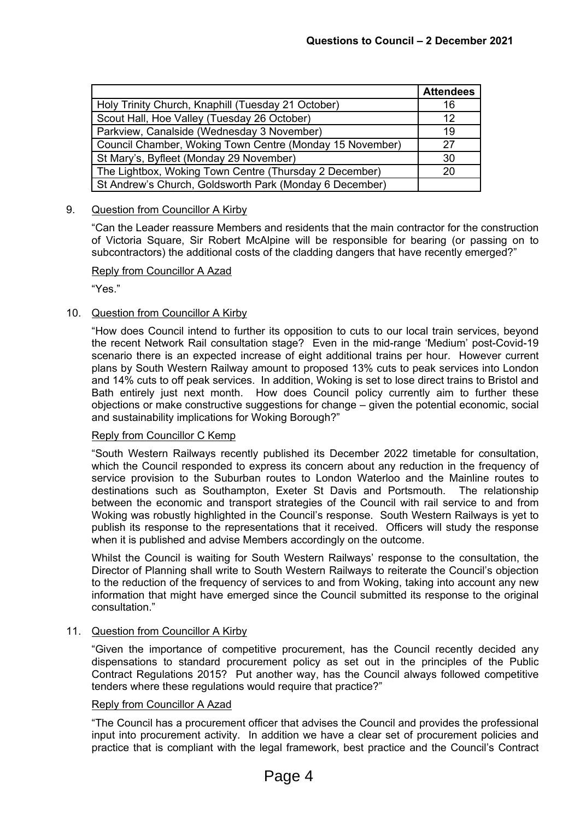|                                                          | <b>Attendees</b> |
|----------------------------------------------------------|------------------|
| Holy Trinity Church, Knaphill (Tuesday 21 October)       | 16               |
| Scout Hall, Hoe Valley (Tuesday 26 October)              | 12               |
| Parkview, Canalside (Wednesday 3 November)               | 19               |
| Council Chamber, Woking Town Centre (Monday 15 November) | 27               |
| St Mary's, Byfleet (Monday 29 November)                  | 30               |
| The Lightbox, Woking Town Centre (Thursday 2 December)   | 20               |
| St Andrew's Church, Goldsworth Park (Monday 6 December)  |                  |

## 9. Question from Councillor A Kirby

"Can the Leader reassure Members and residents that the main contractor for the construction of Victoria Square, Sir Robert McAlpine will be responsible for bearing (or passing on to subcontractors) the additional costs of the cladding dangers that have recently emerged?"

## Reply from Councillor A Azad

"Yes."

## 10. Question from Councillor A Kirby

"How does Council intend to further its opposition to cuts to our local train services, beyond the recent Network Rail consultation stage? Even in the mid-range 'Medium' post-Covid-19 scenario there is an expected increase of eight additional trains per hour. However current plans by South Western Railway amount to proposed 13% cuts to peak services into London and 14% cuts to off peak services. In addition, Woking is set to lose direct trains to Bristol and Bath entirely just next month. How does Council policy currently aim to further these objections or make constructive suggestions for change – given the potential economic, social and sustainability implications for Woking Borough?"

## Reply from Councillor C Kemp

"South Western Railways recently published its December 2022 timetable for consultation, which the Council responded to express its concern about any reduction in the frequency of service provision to the Suburban routes to London Waterloo and the Mainline routes to destinations such as Southampton, Exeter St Davis and Portsmouth. The relationship between the economic and transport strategies of the Council with rail service to and from Woking was robustly highlighted in the Council's response. South Western Railways is yet to publish its response to the representations that it received. Officers will study the response when it is published and advise Members accordingly on the outcome.

Whilst the Council is waiting for South Western Railways' response to the consultation, the Director of Planning shall write to South Western Railways to reiterate the Council's objection to the reduction of the frequency of services to and from Woking, taking into account any new information that might have emerged since the Council submitted its response to the original consultation."

#### 11. Question from Councillor A Kirby

"Given the importance of competitive procurement, has the Council recently decided any dispensations to standard procurement policy as set out in the principles of the Public Contract Regulations 2015? Put another way, has the Council always followed competitive tenders where these regulations would require that practice?"

#### Reply from Councillor A Azad

"The Council has a procurement officer that advises the Council and provides the professional input into procurement activity. In addition we have a clear set of procurement policies and practice that is compliant with the legal framework, best practice and the Council's Contract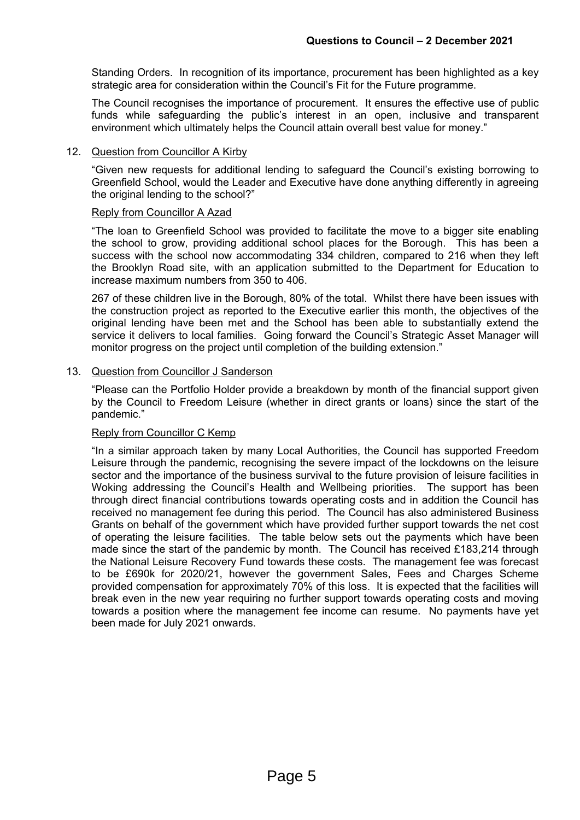Standing Orders. In recognition of its importance, procurement has been highlighted as a key strategic area for consideration within the Council's Fit for the Future programme.

The Council recognises the importance of procurement. It ensures the effective use of public funds while safeguarding the public's interest in an open, inclusive and transparent environment which ultimately helps the Council attain overall best value for money."

#### 12. Question from Councillor A Kirby

"Given new requests for additional lending to safeguard the Council's existing borrowing to Greenfield School, would the Leader and Executive have done anything differently in agreeing the original lending to the school?"

#### Reply from Councillor A Azad

"The loan to Greenfield School was provided to facilitate the move to a bigger site enabling the school to grow, providing additional school places for the Borough. This has been a success with the school now accommodating 334 children, compared to 216 when they left the Brooklyn Road site, with an application submitted to the Department for Education to increase maximum numbers from 350 to 406.

267 of these children live in the Borough, 80% of the total. Whilst there have been issues with the construction project as reported to the Executive earlier this month, the objectives of the original lending have been met and the School has been able to substantially extend the service it delivers to local families. Going forward the Council's Strategic Asset Manager will monitor progress on the project until completion of the building extension."

#### 13. Question from Councillor J Sanderson

"Please can the Portfolio Holder provide a breakdown by month of the financial support given by the Council to Freedom Leisure (whether in direct grants or loans) since the start of the pandemic."

# Reply from Councillor C Kemp

"In a similar approach taken by many Local Authorities, the Council has supported Freedom Leisure through the pandemic, recognising the severe impact of the lockdowns on the leisure sector and the importance of the business survival to the future provision of leisure facilities in Woking addressing the Council's Health and Wellbeing priorities. The support has been through direct financial contributions towards operating costs and in addition the Council has received no management fee during this period. The Council has also administered Business Grants on behalf of the government which have provided further support towards the net cost of operating the leisure facilities. The table below sets out the payments which have been made since the start of the pandemic by month. The Council has received £183,214 through the National Leisure Recovery Fund towards these costs. The management fee was forecast to be £690k for 2020/21, however the government Sales, Fees and Charges Scheme provided compensation for approximately 70% of this loss. It is expected that the facilities will break even in the new year requiring no further support towards operating costs and moving towards a position where the management fee income can resume. No payments have yet been made for July 2021 onwards.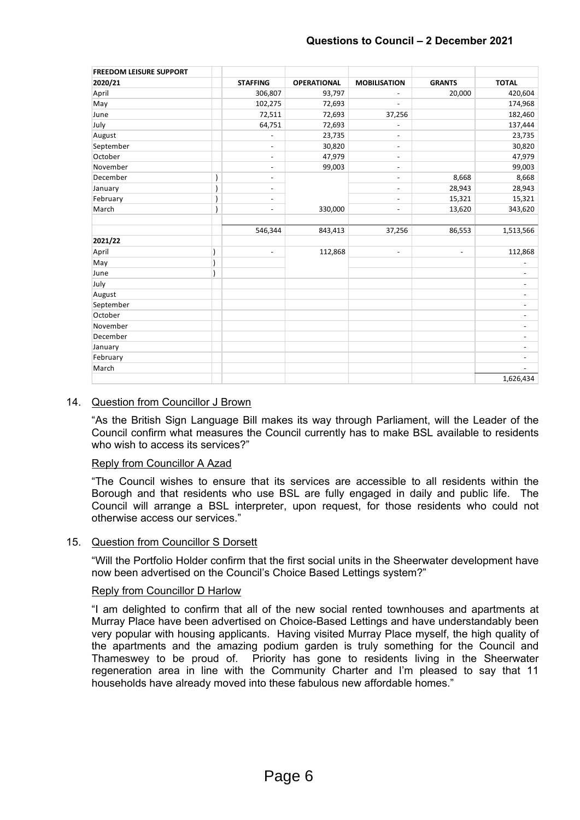| <b>FREEDOM LEISURE SUPPORT</b> |                          |                    |                          |                          |                          |
|--------------------------------|--------------------------|--------------------|--------------------------|--------------------------|--------------------------|
| 2020/21                        | <b>STAFFING</b>          | <b>OPERATIONAL</b> | <b>MOBILISATION</b>      | <b>GRANTS</b>            | <b>TOTAL</b>             |
| April                          | 306,807                  | 93,797             | $\overline{\phantom{a}}$ | 20,000                   | 420,604                  |
| May                            | 102,275                  | 72,693             |                          |                          | 174,968                  |
| June                           | 72,511                   | 72,693             | 37,256                   |                          | 182,460                  |
| July                           | 64,751                   | 72,693             | $\overline{\phantom{a}}$ |                          | 137,444                  |
| August                         | $\overline{\phantom{a}}$ | 23,735             | $\overline{\phantom{a}}$ |                          | 23,735                   |
| September                      | $\overline{\phantom{a}}$ | 30,820             | $\overline{\phantom{a}}$ |                          | 30,820                   |
| October                        | $\overline{\phantom{a}}$ | 47,979             | $\overline{\phantom{a}}$ |                          | 47,979                   |
| November                       | $\overline{\phantom{a}}$ | 99,003             | $\overline{\phantom{a}}$ |                          | 99,003                   |
| December                       | $\overline{\phantom{a}}$ |                    | $\overline{\phantom{a}}$ | 8,668                    | 8,668                    |
| January                        | $\overline{\phantom{a}}$ |                    | $\overline{\phantom{a}}$ | 28,943                   | 28,943                   |
| February                       | $\overline{\phantom{a}}$ |                    | $\overline{\phantom{a}}$ | 15,321                   | 15,321                   |
| March                          | $\overline{\phantom{a}}$ | 330,000            | $\overline{\phantom{a}}$ | 13,620                   | 343,620                  |
|                                |                          |                    |                          |                          |                          |
|                                | 546,344                  | 843,413            | 37,256                   | 86,553                   | 1,513,566                |
| 2021/22                        |                          |                    |                          |                          |                          |
| April                          | $\overline{\phantom{a}}$ | 112,868            | $\overline{\phantom{a}}$ | $\overline{\phantom{a}}$ | 112,868                  |
| May                            |                          |                    |                          |                          | $\overline{\phantom{a}}$ |
| June                           |                          |                    |                          |                          | $\overline{\phantom{a}}$ |
| July                           |                          |                    |                          |                          | $\overline{\phantom{a}}$ |
| August                         |                          |                    |                          |                          | $\overline{\phantom{a}}$ |
| September                      |                          |                    |                          |                          | $\overline{\phantom{a}}$ |
| October                        |                          |                    |                          |                          | $\overline{\phantom{a}}$ |
| November                       |                          |                    |                          |                          | $\overline{\phantom{a}}$ |
| December                       |                          |                    |                          |                          | $\overline{\phantom{a}}$ |
| January                        |                          |                    |                          |                          | $\overline{\phantom{a}}$ |
| February                       |                          |                    |                          |                          | $\overline{\phantom{a}}$ |
| March                          |                          |                    |                          |                          |                          |
|                                |                          |                    |                          |                          | 1,626,434                |

## 14. Question from Councillor J Brown

"As the British Sign Language Bill makes its way through Parliament, will the Leader of the Council confirm what measures the Council currently has to make BSL available to residents who wish to access its services?"

## Reply from Councillor A Azad

"The Council wishes to ensure that its services are accessible to all residents within the Borough and that residents who use BSL are fully engaged in daily and public life. The Council will arrange a BSL interpreter, upon request, for those residents who could not otherwise access our services."

## 15. Question from Councillor S Dorsett

"Will the Portfolio Holder confirm that the first social units in the Sheerwater development have now been advertised on the Council's Choice Based Lettings system?"

## Reply from Councillor D Harlow

"I am delighted to confirm that all of the new social rented townhouses and apartments at Murray Place have been advertised on Choice-Based Lettings and have understandably been very popular with housing applicants. Having visited Murray Place myself, the high quality of the apartments and the amazing podium garden is truly something for the Council and Thameswey to be proud of. Priority has gone to residents living in the Sheerwater regeneration area in line with the Community Charter and I'm pleased to say that 11 households have already moved into these fabulous new affordable homes."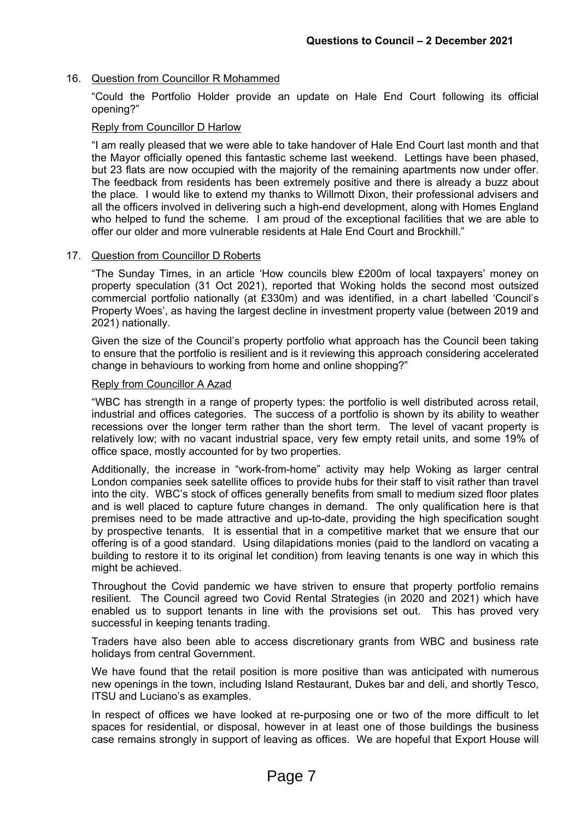# 16. Question from Councillor R Mohammed

"Could the Portfolio Holder provide an update on Hale End Court following its official opening?"

# Reply from Councillor D Harlow

"I am really pleased that we were able to take handover of Hale End Court last month and that the Mayor officially opened this fantastic scheme last weekend. Lettings have been phased, but 23 flats are now occupied with the majority of the remaining apartments now under offer. The feedback from residents has been extremely positive and there is already a buzz about the place. I would like to extend my thanks to Willmott Dixon, their professional advisers and all the officers involved in delivering such a high-end development, along with Homes England who helped to fund the scheme. I am proud of the exceptional facilities that we are able to offer our older and more vulnerable residents at Hale End Court and Brockhill."

## 17. Question from Councillor D Roberts

"The Sunday Times, in an article 'How councils blew £200m of local taxpayers' money on property speculation (31 Oct 2021), reported that Woking holds the second most outsized commercial portfolio nationally (at £330m) and was identified, in a chart labelled 'Council's Property Woes', as having the largest decline in investment property value (between 2019 and 2021) nationally.

Given the size of the Council's property portfolio what approach has the Council been taking to ensure that the portfolio is resilient and is it reviewing this approach considering accelerated change in behaviours to working from home and online shopping?"

#### Reply from Councillor A Azad

"WBC has strength in a range of property types: the portfolio is well distributed across retail, industrial and offices categories. The success of a portfolio is shown by its ability to weather recessions over the longer term rather than the short term. The level of vacant property is relatively low; with no vacant industrial space, very few empty retail units, and some 19% of office space, mostly accounted for by two properties.

Additionally, the increase in "work-from-home" activity may help Woking as larger central London companies seek satellite offices to provide hubs for their staff to visit rather than travel into the city. WBC's stock of offices generally benefits from small to medium sized floor plates and is well placed to capture future changes in demand. The only qualification here is that premises need to be made attractive and up-to-date, providing the high specification sought by prospective tenants. It is essential that in a competitive market that we ensure that our offering is of a good standard. Using dilapidations monies (paid to the landlord on vacating a building to restore it to its original let condition) from leaving tenants is one way in which this might be achieved.

Throughout the Covid pandemic we have striven to ensure that property portfolio remains resilient. The Council agreed two Covid Rental Strategies (in 2020 and 2021) which have enabled us to support tenants in line with the provisions set out. This has proved very successful in keeping tenants trading.

Traders have also been able to access discretionary grants from WBC and business rate holidays from central Government.

We have found that the retail position is more positive than was anticipated with numerous new openings in the town, including Island Restaurant, Dukes bar and deli, and shortly Tesco, ITSU and Luciano's as examples.

In respect of offices we have looked at re-purposing one or two of the more difficult to let spaces for residential, or disposal, however in at least one of those buildings the business case remains strongly in support of leaving as offices. We are hopeful that Export House will